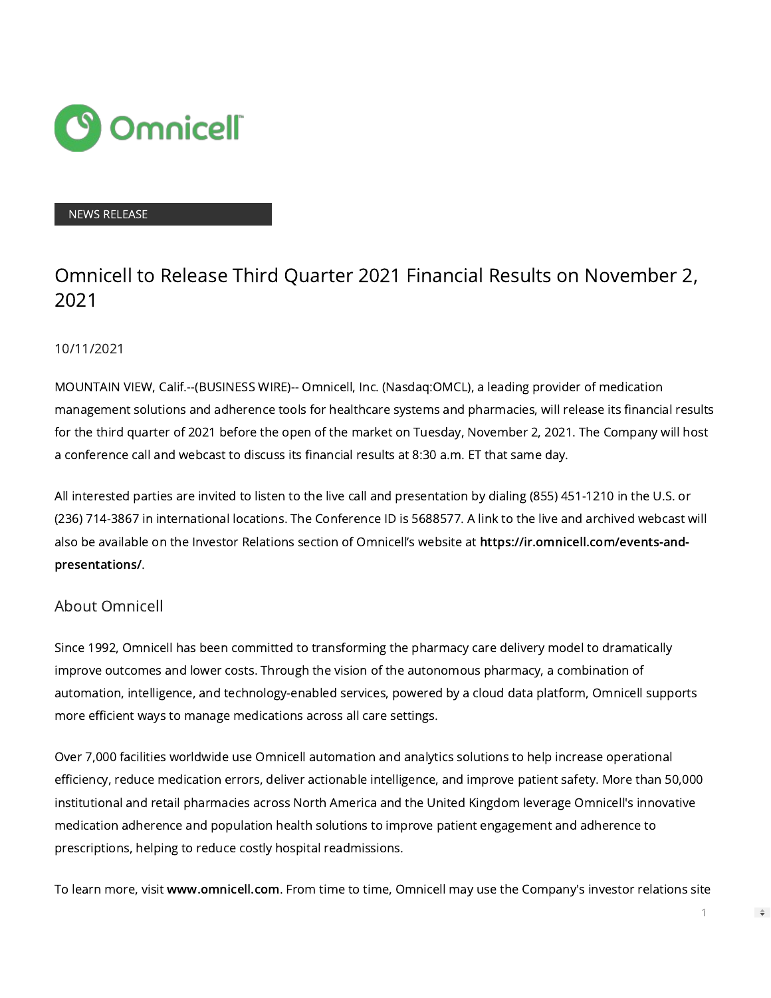

## NEWS RELEASE

## Omnicell to Release Third Quarter 2021 Financial Results on November 2, 2021

## 10/11/2021

MOUNTAIN VIEW, Calif.--(BUSINESS WIRE)-- Omnicell, Inc. (Nasdaq:OMCL), a leading provider of medication management solutions and adherence tools for healthcare systems and pharmacies, will release its financial results for the third quarter of 2021 before the open of the market on Tuesday, November 2, 2021. The Company will host a conference call and webcast to discuss its financial results at 8:30 a.m. ET that same day.

All interested parties are invited to listen to the live call and presentation by dialing (855) 451-1210 in the U.S. or (236) 714-3867 in international locations. The Conference ID is 5688577. A link to the live and archived webcast will also be available on the Investor Relations section of Omnicell's website at [https://ir.omnicell.com/events-and](https://cts.businesswire.com/ct/CT?id=smartlink&url=https%3A%2F%2Fir.omnicell.com%2Fevents-and-presentations%2F&esheet=52506904&newsitemid=20211011005597&lan=en-US&anchor=https%3A%2F%2Fir.omnicell.com%2Fevents-and-presentations%2F&index=1&md5=9e3922122f7718a22a04fbd87f10881c)[presentations/](https://cts.businesswire.com/ct/CT?id=smartlink&url=https%3A%2F%2Fir.omnicell.com%2Fevents-and-presentations%2F&esheet=52506904&newsitemid=20211011005597&lan=en-US&anchor=https%3A%2F%2Fir.omnicell.com%2Fevents-and-presentations%2F&index=1&md5=9e3922122f7718a22a04fbd87f10881c).

## About Omnicell

Since 1992, Omnicell has been committed to transforming the pharmacy care delivery model to dramatically improve outcomes and lower costs. Through the vision of the autonomous pharmacy, a combination of automation, intelligence, and technology-enabled services, powered by a cloud data platform, Omnicell supports more efficient ways to manage medications across all care settings.

Over 7,000 facilities worldwide use Omnicell automation and analytics solutions to help increase operational efficiency, reduce medication errors, deliver actionable intelligence, and improve patient safety. More than 50,000 institutional and retail pharmacies across North America and the United Kingdom leverage Omnicell's innovative medication adherence and population health solutions to improve patient engagement and adherence to prescriptions, helping to reduce costly hospital readmissions.

To learn more, visit [www.omnicell.com](https://cts.businesswire.com/ct/CT?id=smartlink&url=http%3A%2F%2Fwww.omnicell.com&esheet=52506904&newsitemid=20211011005597&lan=en-US&anchor=www.omnicell.com&index=2&md5=177e2bef7a9c9b8ff23772819e13c70f). From time to time, Omnicell may use the Company's investor relations site

 $\Rightarrow$ 

1